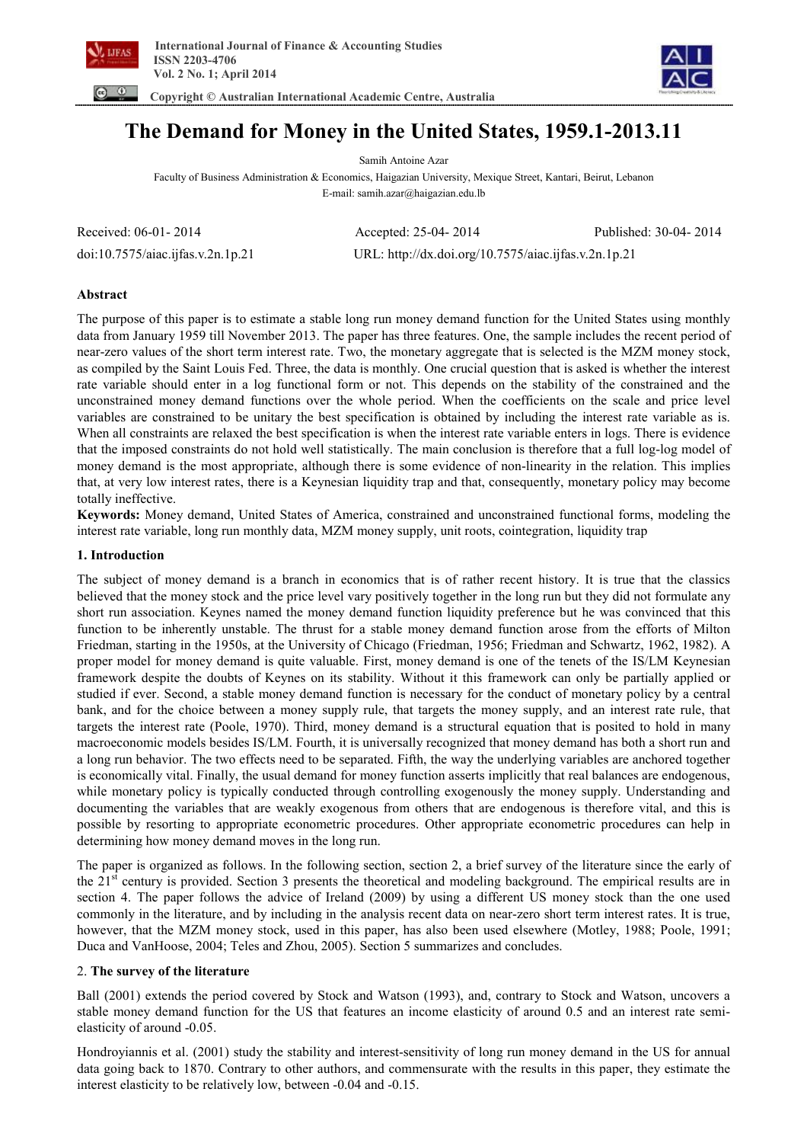

 **Copyright © Australian International Academic Centre, Australia** 



**The Demand for Money in the United States, 1959.1-2013.11** 

Samih Antoine Azar Faculty of Business Administration & Economics, Haigazian University, Mexique Street, Kantari, Beirut, Lebanon E-mail: samih.azar@haigazian.edu.lb

| Received: 06-01-2014              | Accepted: $25-04-2014$                               | Published: 30-04-2014 |
|-----------------------------------|------------------------------------------------------|-----------------------|
| doi:10.7575/aiac.ijfas.v.2n.1p.21 | URL: http://dx.doi.org/10.7575/aiac.ijfas.v.2n.1p.21 |                       |

# **Abstract**

The purpose of this paper is to estimate a stable long run money demand function for the United States using monthly data from January 1959 till November 2013. The paper has three features. One, the sample includes the recent period of near-zero values of the short term interest rate. Two, the monetary aggregate that is selected is the MZM money stock, as compiled by the Saint Louis Fed. Three, the data is monthly. One crucial question that is asked is whether the interest rate variable should enter in a log functional form or not. This depends on the stability of the constrained and the unconstrained money demand functions over the whole period. When the coefficients on the scale and price level variables are constrained to be unitary the best specification is obtained by including the interest rate variable as is. When all constraints are relaxed the best specification is when the interest rate variable enters in logs. There is evidence that the imposed constraints do not hold well statistically. The main conclusion is therefore that a full log-log model of money demand is the most appropriate, although there is some evidence of non-linearity in the relation. This implies that, at very low interest rates, there is a Keynesian liquidity trap and that, consequently, monetary policy may become totally ineffective.

**Keywords:** Money demand, United States of America, constrained and unconstrained functional forms, modeling the interest rate variable, long run monthly data, MZM money supply, unit roots, cointegration, liquidity trap

# **1. Introduction**

The subject of money demand is a branch in economics that is of rather recent history. It is true that the classics believed that the money stock and the price level vary positively together in the long run but they did not formulate any short run association. Keynes named the money demand function liquidity preference but he was convinced that this function to be inherently unstable. The thrust for a stable money demand function arose from the efforts of Milton Friedman, starting in the 1950s, at the University of Chicago (Friedman, 1956; Friedman and Schwartz, 1962, 1982). A proper model for money demand is quite valuable. First, money demand is one of the tenets of the IS/LM Keynesian framework despite the doubts of Keynes on its stability. Without it this framework can only be partially applied or studied if ever. Second, a stable money demand function is necessary for the conduct of monetary policy by a central bank, and for the choice between a money supply rule, that targets the money supply, and an interest rate rule, that targets the interest rate (Poole, 1970). Third, money demand is a structural equation that is posited to hold in many macroeconomic models besides IS/LM. Fourth, it is universally recognized that money demand has both a short run and a long run behavior. The two effects need to be separated. Fifth, the way the underlying variables are anchored together is economically vital. Finally, the usual demand for money function asserts implicitly that real balances are endogenous, while monetary policy is typically conducted through controlling exogenously the money supply. Understanding and documenting the variables that are weakly exogenous from others that are endogenous is therefore vital, and this is possible by resorting to appropriate econometric procedures. Other appropriate econometric procedures can help in determining how money demand moves in the long run.

The paper is organized as follows. In the following section, section 2, a brief survey of the literature since the early of the 21<sup>st</sup> century is provided. Section 3 presents the theoretical and modeling background. The empirical results are in section 4. The paper follows the advice of Ireland (2009) by using a different US money stock than the one used commonly in the literature, and by including in the analysis recent data on near-zero short term interest rates. It is true, however, that the MZM money stock, used in this paper, has also been used elsewhere (Motley, 1988; Poole, 1991; Duca and VanHoose, 2004; Teles and Zhou, 2005). Section 5 summarizes and concludes.

# 2. **The survey of the literature**

Ball (2001) extends the period covered by Stock and Watson (1993), and, contrary to Stock and Watson, uncovers a stable money demand function for the US that features an income elasticity of around 0.5 and an interest rate semielasticity of around -0.05.

Hondroyiannis et al. (2001) study the stability and interest-sensitivity of long run money demand in the US for annual data going back to 1870. Contrary to other authors, and commensurate with the results in this paper, they estimate the interest elasticity to be relatively low, between -0.04 and -0.15.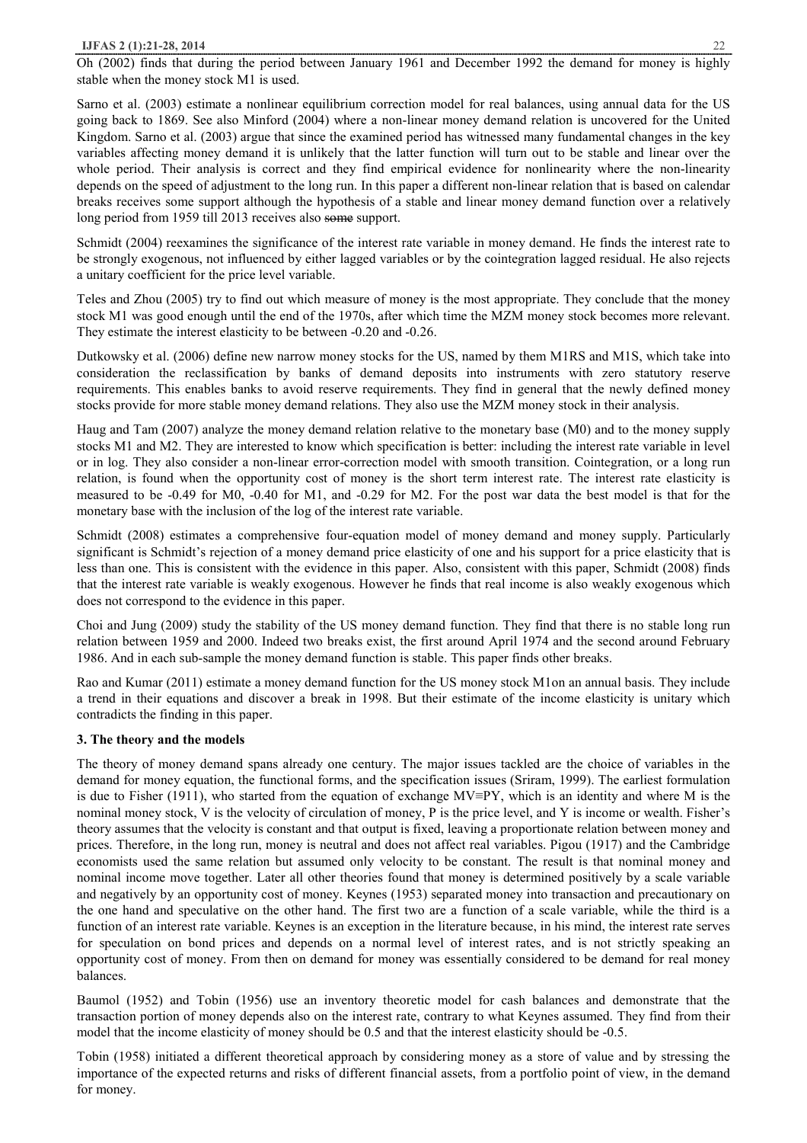Oh (2002) finds that during the period between January 1961 and December 1992 the demand for money is highly stable when the money stock M1 is used.

Sarno et al. (2003) estimate a nonlinear equilibrium correction model for real balances, using annual data for the US going back to 1869. See also Minford (2004) where a non-linear money demand relation is uncovered for the United Kingdom. Sarno et al. (2003) argue that since the examined period has witnessed many fundamental changes in the key variables affecting money demand it is unlikely that the latter function will turn out to be stable and linear over the whole period. Their analysis is correct and they find empirical evidence for nonlinearity where the non-linearity depends on the speed of adjustment to the long run. In this paper a different non-linear relation that is based on calendar breaks receives some support although the hypothesis of a stable and linear money demand function over a relatively long period from 1959 till 2013 receives also some support.

Schmidt (2004) reexamines the significance of the interest rate variable in money demand. He finds the interest rate to be strongly exogenous, not influenced by either lagged variables or by the cointegration lagged residual. He also rejects a unitary coefficient for the price level variable.

Teles and Zhou (2005) try to find out which measure of money is the most appropriate. They conclude that the money stock M1 was good enough until the end of the 1970s, after which time the MZM money stock becomes more relevant. They estimate the interest elasticity to be between -0.20 and -0.26.

Dutkowsky et al. (2006) define new narrow money stocks for the US, named by them M1RS and M1S, which take into consideration the reclassification by banks of demand deposits into instruments with zero statutory reserve requirements. This enables banks to avoid reserve requirements. They find in general that the newly defined money stocks provide for more stable money demand relations. They also use the MZM money stock in their analysis.

Haug and Tam (2007) analyze the money demand relation relative to the monetary base (M0) and to the money supply stocks M1 and M2. They are interested to know which specification is better: including the interest rate variable in level or in log. They also consider a non-linear error-correction model with smooth transition. Cointegration, or a long run relation, is found when the opportunity cost of money is the short term interest rate. The interest rate elasticity is measured to be -0.49 for M0, -0.40 for M1, and -0.29 for M2. For the post war data the best model is that for the monetary base with the inclusion of the log of the interest rate variable.

Schmidt (2008) estimates a comprehensive four-equation model of money demand and money supply. Particularly significant is Schmidt's rejection of a money demand price elasticity of one and his support for a price elasticity that is less than one. This is consistent with the evidence in this paper. Also, consistent with this paper, Schmidt (2008) finds that the interest rate variable is weakly exogenous. However he finds that real income is also weakly exogenous which does not correspond to the evidence in this paper.

Choi and Jung (2009) study the stability of the US money demand function. They find that there is no stable long run relation between 1959 and 2000. Indeed two breaks exist, the first around April 1974 and the second around February 1986. And in each sub-sample the money demand function is stable. This paper finds other breaks.

Rao and Kumar (2011) estimate a money demand function for the US money stock M1on an annual basis. They include a trend in their equations and discover a break in 1998. But their estimate of the income elasticity is unitary which contradicts the finding in this paper.

# **3. The theory and the models**

The theory of money demand spans already one century. The major issues tackled are the choice of variables in the demand for money equation, the functional forms, and the specification issues (Sriram, 1999). The earliest formulation is due to Fisher (1911), who started from the equation of exchange MV≡PY, which is an identity and where M is the nominal money stock, V is the velocity of circulation of money, P is the price level, and Y is income or wealth. Fisher's theory assumes that the velocity is constant and that output is fixed, leaving a proportionate relation between money and prices. Therefore, in the long run, money is neutral and does not affect real variables. Pigou (1917) and the Cambridge economists used the same relation but assumed only velocity to be constant. The result is that nominal money and nominal income move together. Later all other theories found that money is determined positively by a scale variable and negatively by an opportunity cost of money. Keynes (1953) separated money into transaction and precautionary on the one hand and speculative on the other hand. The first two are a function of a scale variable, while the third is a function of an interest rate variable. Keynes is an exception in the literature because, in his mind, the interest rate serves for speculation on bond prices and depends on a normal level of interest rates, and is not strictly speaking an opportunity cost of money. From then on demand for money was essentially considered to be demand for real money balances.

Baumol (1952) and Tobin (1956) use an inventory theoretic model for cash balances and demonstrate that the transaction portion of money depends also on the interest rate, contrary to what Keynes assumed. They find from their model that the income elasticity of money should be 0.5 and that the interest elasticity should be -0.5.

Tobin (1958) initiated a different theoretical approach by considering money as a store of value and by stressing the importance of the expected returns and risks of different financial assets, from a portfolio point of view, in the demand for money.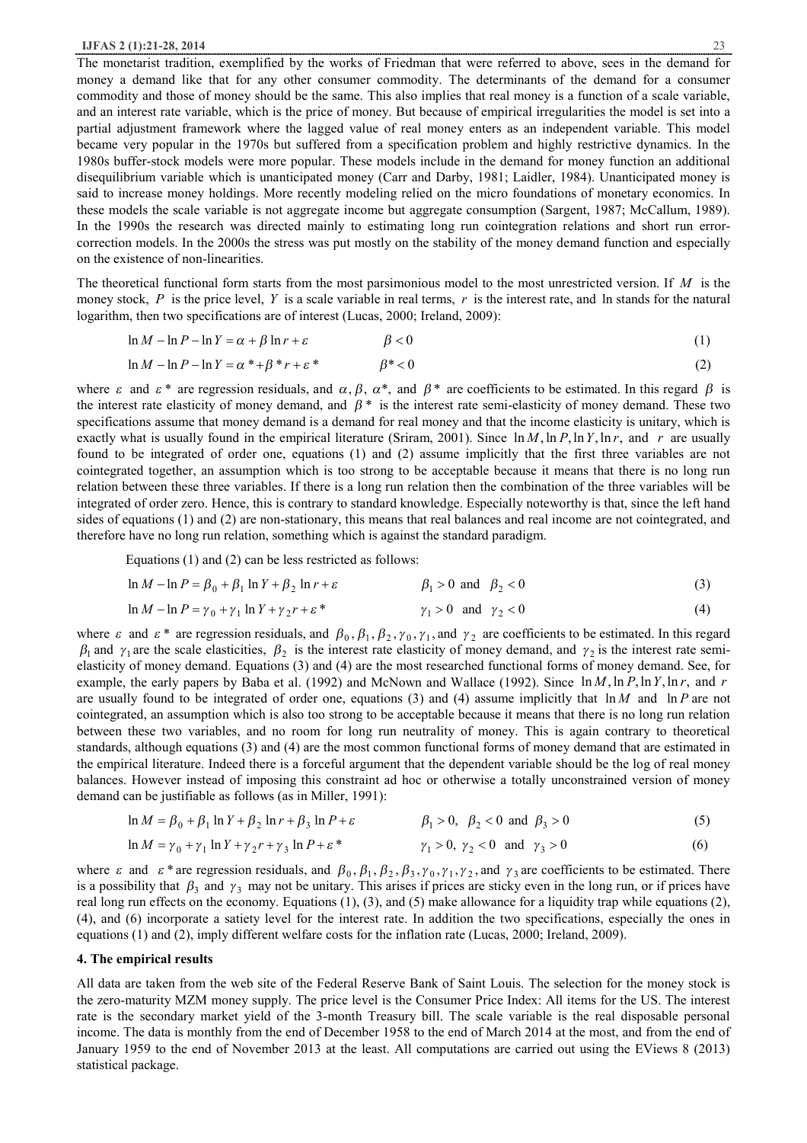#### **IJFAS 2 (1):21-28, 2014** 23

The monetarist tradition, exemplified by the works of Friedman that were referred to above, sees in the demand for money a demand like that for any other consumer commodity. The determinants of the demand for a consumer commodity and those of money should be the same. This also implies that real money is a function of a scale variable, and an interest rate variable, which is the price of money. But because of empirical irregularities the model is set into a partial adjustment framework where the lagged value of real money enters as an independent variable. This model became very popular in the 1970s but suffered from a specification problem and highly restrictive dynamics. In the 1980s buffer-stock models were more popular. These models include in the demand for money function an additional disequilibrium variable which is unanticipated money (Carr and Darby, 1981; Laidler, 1984). Unanticipated money is said to increase money holdings. More recently modeling relied on the micro foundations of monetary economics. In these models the scale variable is not aggregate income but aggregate consumption (Sargent, 1987; McCallum, 1989). In the 1990s the research was directed mainly to estimating long run cointegration relations and short run errorcorrection models. In the 2000s the stress was put mostly on the stability of the money demand function and especially on the existence of non-linearities.

The theoretical functional form starts from the most parsimonious model to the most unrestricted version. If *M* is the money stock, P is the price level, Y is a scale variable in real terms, r is the interest rate, and In stands for the natural logarithm, then two specifications are of interest (Lucas, 2000; Ireland, 2009):

$$
\ln M - \ln P - \ln Y = \alpha + \beta \ln r + \varepsilon \qquad \beta < 0 \tag{1}
$$

$$
\ln M - \ln P - \ln Y = \alpha^* + \beta^* r + \varepsilon^* \qquad \beta^* < 0 \tag{2}
$$

where  $\varepsilon$  and  $\varepsilon$ <sup>\*</sup> are regression residuals, and  $\alpha$ ,  $\beta$ ,  $\alpha$ <sup>\*</sup>, and  $\beta$ <sup>\*</sup> are coefficients to be estimated. In this regard  $\beta$  is the interest rate elasticity of money demand, and  $\beta$ <sup>\*</sup> is the interest rate semi-elasticity of money demand. These two specifications assume that money demand is a demand for real money and that the income elasticity is unitary, which is exactly what is usually found in the empirical literature (Sriram, 2001). Since  $\ln M$ ,  $\ln P$ ,  $\ln Y$ ,  $\ln r$ , and *r* are usually found to be integrated of order one, equations (1) and (2) assume implicitly that the first three variables are not cointegrated together, an assumption which is too strong to be acceptable because it means that there is no long run relation between these three variables. If there is a long run relation then the combination of the three variables will be integrated of order zero. Hence, this is contrary to standard knowledge. Especially noteworthy is that, since the left hand sides of equations (1) and (2) are non-stationary, this means that real balances and real income are not cointegrated, and therefore have no long run relation, something which is against the standard paradigm.

Equations (1) and (2) can be less restricted as follows:

$$
\ln M - \ln P = \beta_0 + \beta_1 \ln Y + \beta_2 \ln r + \varepsilon \qquad \beta_1 > 0 \text{ and } \beta_2 < 0 \qquad (3)
$$

$$
\ln M - \ln P = \gamma_0 + \gamma_1 \ln Y + \gamma_2 r + \varepsilon^* \qquad \gamma_1 > 0 \quad \text{and} \quad \gamma_2 < 0 \tag{4}
$$

where  $\varepsilon$  and  $\varepsilon$ <sup>\*</sup> are regression residuals, and  $\beta_0$ ,  $\beta_1$ ,  $\beta_2$ ,  $\gamma_0$ ,  $\gamma_1$ , and  $\gamma_2$  are coefficients to be estimated. In this regard  $\beta_1$  and  $\gamma_1$  are the scale elasticities,  $\beta_2$  is the interest rate elasticity of money demand, and  $\gamma_2$  is the interest rate semielasticity of money demand. Equations (3) and (4) are the most researched functional forms of money demand. See, for example, the early papers by Baba et al. (1992) and McNown and Wallace (1992). Since ln *M*,ln *P*,ln*Y*,ln *r*, and *r* are usually found to be integrated of order one, equations (3) and (4) assume implicitly that ln *M* and ln *P* are not cointegrated, an assumption which is also too strong to be acceptable because it means that there is no long run relation between these two variables, and no room for long run neutrality of money. This is again contrary to theoretical standards, although equations (3) and (4) are the most common functional forms of money demand that are estimated in the empirical literature. Indeed there is a forceful argument that the dependent variable should be the log of real money balances. However instead of imposing this constraint ad hoc or otherwise a totally unconstrained version of money demand can be justifiable as follows (as in Miller, 1991):

$$
\ln M = \beta_0 + \beta_1 \ln Y + \beta_2 \ln r + \beta_3 \ln P + \varepsilon \qquad \beta_1 > 0, \ \beta_2 < 0 \text{ and } \beta_3 > 0 \tag{5}
$$

$$
\ln M = \gamma_0 + \gamma_1 \ln Y + \gamma_2 r + \gamma_3 \ln P + \varepsilon^* \qquad \gamma_1 > 0, \ \gamma_2 < 0 \ \text{ and } \ \gamma_3 > 0 \tag{6}
$$

where  $\varepsilon$  and  $\varepsilon$ <sup>\*</sup> are regression residuals, and  $\beta_0$ ,  $\beta_1$ ,  $\beta_2$ ,  $\beta_3$ ,  $\gamma_0$ ,  $\gamma_1$ ,  $\gamma_2$ , and  $\gamma_3$  are coefficients to be estimated. There is a possibility that  $\beta_3$  and  $\gamma_3$  may not be unitary. This arises if prices are sticky even in the long run, or if prices have real long run effects on the economy. Equations  $(1)$ ,  $(3)$ , and  $(5)$  make allowance for a liquidity trap while equations  $(2)$ , (4), and (6) incorporate a satiety level for the interest rate. In addition the two specifications, especially the ones in equations (1) and (2), imply different welfare costs for the inflation rate (Lucas, 2000; Ireland, 2009).

### **4. The empirical results**

All data are taken from the web site of the Federal Reserve Bank of Saint Louis. The selection for the money stock is the zero-maturity MZM money supply. The price level is the Consumer Price Index: All items for the US. The interest rate is the secondary market yield of the 3-month Treasury bill. The scale variable is the real disposable personal income. The data is monthly from the end of December 1958 to the end of March 2014 at the most, and from the end of January 1959 to the end of November 2013 at the least. All computations are carried out using the EViews 8 (2013) statistical package.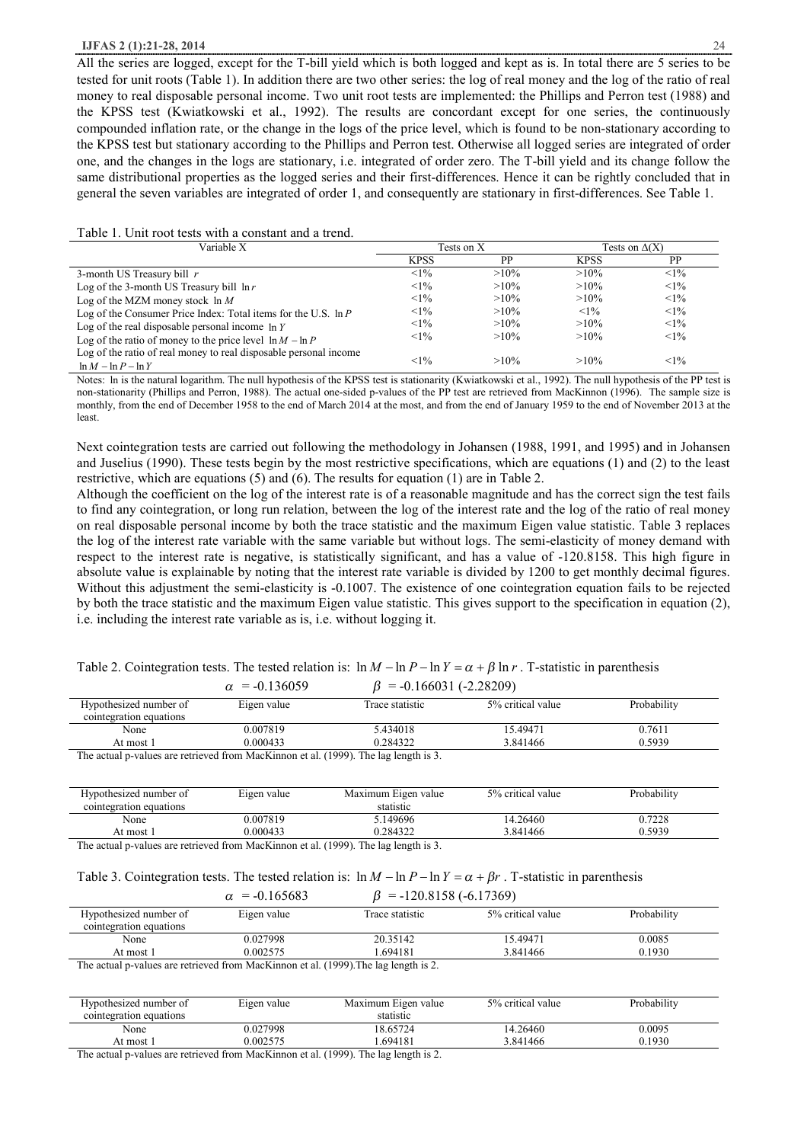### **IJFAS 2 (1):21-28, 2014** 24

All the series are logged, except for the T-bill yield which is both logged and kept as is. In total there are 5 series to be tested for unit roots (Table 1). In addition there are two other series: the log of real money and the log of the ratio of real money to real disposable personal income. Two unit root tests are implemented: the Phillips and Perron test (1988) and the KPSS test (Kwiatkowski et al., 1992). The results are concordant except for one series, the continuously compounded inflation rate, or the change in the logs of the price level, which is found to be non-stationary according to the KPSS test but stationary according to the Phillips and Perron test. Otherwise all logged series are integrated of order one, and the changes in the logs are stationary, i.e. integrated of order zero. The T-bill yield and its change follow the same distributional properties as the logged series and their first-differences. Hence it can be rightly concluded that in general the seven variables are integrated of order 1, and consequently are stationary in first-differences. See Table 1.

| Table 1. Unit root tests with a constant and a trend. |
|-------------------------------------------------------|
|-------------------------------------------------------|

| Variable X                                                                                   | Tests on X  |         | Tests on $\Delta(X)$ |        |
|----------------------------------------------------------------------------------------------|-------------|---------|----------------------|--------|
|                                                                                              | <b>KPSS</b> | PP      | <b>KPSS</b>          | PP     |
| 3-month US Treasury bill $r$                                                                 | $<1\%$      | $>10\%$ | $>10\%$              | $<1\%$ |
| Log of the 3-month US Treasury bill $\ln r$                                                  | $<1\%$      | $>10\%$ | $>10\%$              | $<1\%$ |
| Log of the MZM money stock $\ln M$                                                           | $<1\%$      | $>10\%$ | $>10\%$              | $<1\%$ |
| Log of the Consumer Price Index: Total items for the U.S. $\ln P$                            | $<1\%$      | $>10\%$ | $<1\%$               | $<1\%$ |
| Log of the real disposable personal income $\ln Y$                                           | $<1\%$      | $>10\%$ | $>10\%$              | $<1\%$ |
| Log of the ratio of money to the price level $\ln M - \ln P$                                 | $<1\%$      | $>10\%$ | $>10\%$              | $<1\%$ |
| Log of the ratio of real money to real disposable personal income<br>$\ln M - \ln P - \ln Y$ | $<1\%$      | $>10\%$ | $>10\%$              | $<1\%$ |

Notes: In is the natural logarithm. The null hypothesis of the KPSS test is stationarity (Kwiatkowski et al., 1992). The null hypothesis of the PP test is non-stationarity (Phillips and Perron, 1988). The actual one-sided p-values of the PP test are retrieved from MacKinnon (1996). The sample size is monthly, from the end of December 1958 to the end of March 2014 at the most, and from the end of January 1959 to the end of November 2013 at the least.

Next cointegration tests are carried out following the methodology in Johansen (1988, 1991, and 1995) and in Johansen and Juselius (1990). These tests begin by the most restrictive specifications, which are equations (1) and (2) to the least restrictive, which are equations (5) and (6). The results for equation (1) are in Table 2.

Although the coefficient on the log of the interest rate is of a reasonable magnitude and has the correct sign the test fails to find any cointegration, or long run relation, between the log of the interest rate and the log of the ratio of real money on real disposable personal income by both the trace statistic and the maximum Eigen value statistic. Table 3 replaces the log of the interest rate variable with the same variable but without logs. The semi-elasticity of money demand with respect to the interest rate is negative, is statistically significant, and has a value of -120.8158. This high figure in absolute value is explainable by noting that the interest rate variable is divided by 1200 to get monthly decimal figures. Without this adjustment the semi-elasticity is -0.1007. The existence of one cointegration equation fails to be rejected by both the trace statistic and the maximum Eigen value statistic. This gives support to the specification in equation (2), i.e. including the interest rate variable as is, i.e. without logging it.

|                      | Table 2. Cointegration tests. The tested relation is: $\ln M - \ln P - \ln Y = \alpha + \beta \ln r$ . T-statistic in parenthesis |  |
|----------------------|-----------------------------------------------------------------------------------------------------------------------------------|--|
| $\alpha$ = -0.136059 | $B = -0.166031(-2.28209)$                                                                                                         |  |

|                                                                                     | $\tilde{ }$<br>. <i>.</i> | $0.100001$ $(2.20000)$ |                   |             |
|-------------------------------------------------------------------------------------|---------------------------|------------------------|-------------------|-------------|
| Hypothesized number of                                                              | Eigen value               | Trace statistic        | 5% critical value | Probability |
| cointegration equations                                                             |                           |                        |                   |             |
| None                                                                                | 0.007819                  | 5.434018               | 15.49471          | 0.7611      |
| At most 1                                                                           | 0.000433                  | 0.284322               | 3.841466          | 0.5939      |
| The actual n-values are retrieved from MacKinnon et al. (1999). The lag length is 3 |                           |                        |                   |             |

values are retrieved from MacKinnon et al. (1999). The lag length is 3.

| Hypothesized number of  | Eigen value                                                | Maximum Eigen value                                          | 5% critical value | Probability |
|-------------------------|------------------------------------------------------------|--------------------------------------------------------------|-------------------|-------------|
| cointegration equations |                                                            | statistic                                                    |                   |             |
| None                    | 0.007819                                                   | 149696                                                       | 14.26460          | 0.7228      |
| At most 1               | 0.000433                                                   | 0.284322                                                     | 3.841466          | 0.5939      |
| <b>CONTRACTOR</b>       | $\sim$ $\sim$ $\sim$ $\sim$ $\sim$ $\sim$ $\sim$<br>$\sim$ | $\sim$ $\sim$ $\sim$ $\sim$ $\sim$ $\sim$ $\sim$ $\sim$<br>. |                   |             |

The actual p-values are retrieved from MacKinnon et al. (1999). The lag length is 3.

# Table 3. Cointegration tests. The tested relation is:  $\ln M - \ln P - \ln Y = \alpha + \beta r$ . T-statistic in parenthesis

|                         | $= -120.8158(-6.17369)$<br>$\alpha$ = -0.165683                        |                 |                   |             |  |
|-------------------------|------------------------------------------------------------------------|-----------------|-------------------|-------------|--|
| Hypothesized number of  | Eigen value                                                            | Trace statistic | 5% critical value | Probability |  |
| cointegration equations |                                                                        |                 |                   |             |  |
| None                    | 0.027998                                                               | 20.35142        | 15.49471          | 0.0085      |  |
| At most 1               | 0.002575                                                               | .694181         | 3.841466          | 0.1930      |  |
| <b>CONTRACTOR</b>       | $\sim$ $\sim$ $\sim$ $\sim$ $\sim$ $\sim$ $\sim$ $\sim$<br>$\sim$<br>. | .               |                   |             |  |

The actual p-values are retrieved from MacKinnon et al. (1999).The lag length is 2.

| Hypothesized number of                                        | Eigen value | Maximum Eigen value | 5% critical value | Probability |
|---------------------------------------------------------------|-------------|---------------------|-------------------|-------------|
| cointegration equations                                       |             | statistic           |                   |             |
| None                                                          | 0.027998    | 18.65724            | 14.26460          | 0.0095      |
| At most 1                                                     | 0.002575    | .694181             | 3.841466          | 0.1930      |
| $T1 = 1$ $T = 1$ $T = 10$ $T = 1$ $T = 10000$ $T = 1$ $T = 1$ |             |                     |                   |             |

The actual p-values are retrieved from MacKinnon et al. (1999). The lag length is 2.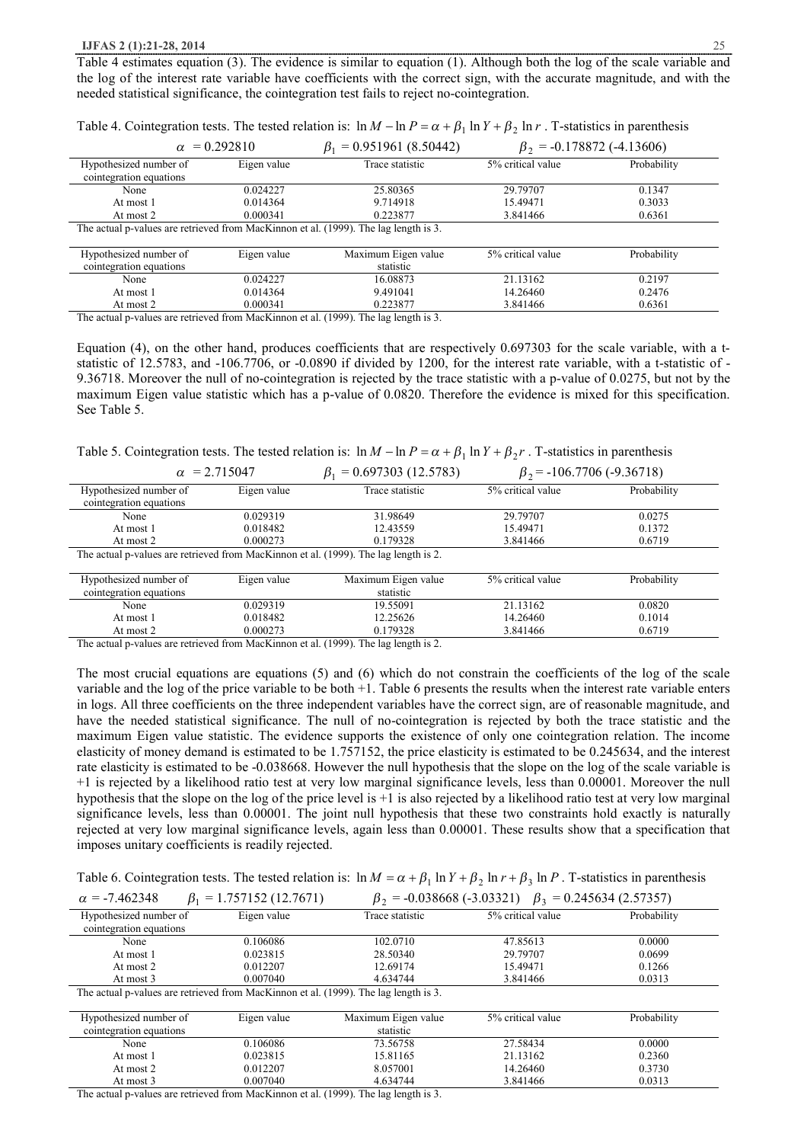Table 4 estimates equation (3). The evidence is similar to equation (1). Although both the log of the scale variable and the log of the interest rate variable have coefficients with the correct sign, with the accurate magnitude, and with the needed statistical significance, the cointegration test fails to reject no-cointegration.

|                                                                                      | $\alpha$ = 0.292810 | $\beta_1$ = 0.951961 (8.50442) | $\beta_2$ = -0.178872 (-4.13606) |             |
|--------------------------------------------------------------------------------------|---------------------|--------------------------------|----------------------------------|-------------|
| Hypothesized number of<br>cointegration equations                                    | Eigen value         | Trace statistic                | 5% critical value                | Probability |
| None                                                                                 | 0.024227            | 25.80365                       | 29.79707                         | 0.1347      |
| At most 1                                                                            | 0.014364            | 9.714918                       | 15.49471                         | 0.3033      |
| At most 2                                                                            | 0.000341            | 0.223877                       | 3.841466                         | 0.6361      |
| The actual p-values are retrieved from MacKinnon et al. (1999). The lag length is 3. |                     |                                |                                  |             |
| Hypothesized number of                                                               | Eigen value         | Maximum Eigen value            | 5% critical value                | Probability |
| cointegration equations                                                              |                     | statistic                      |                                  |             |
| None                                                                                 | 0.024227            | 16.08873                       | 21.13162                         | 0.2197      |
| At most 1                                                                            | 0.014364            | 9.491041                       | 14.26460                         | 0.2476      |
| At most 2                                                                            | 0.000341            | 0.223877                       | 3.841466                         | 0.6361      |

Table 4. Cointegration tests. The tested relation is:  $\ln M - \ln P = \alpha + \beta_1 \ln Y + \beta_2 \ln r$ . T-statistics in parenthesis

The actual p-values are retrieved from MacKinnon et al. (1999). The lag length is 3.

Equation (4), on the other hand, produces coefficients that are respectively 0.697303 for the scale variable, with a tstatistic of 12.5783, and -106.7706, or -0.0890 if divided by 1200, for the interest rate variable, with a t-statistic of - 9.36718. Moreover the null of no-cointegration is rejected by the trace statistic with a p-value of 0.0275, but not by the maximum Eigen value statistic which has a p-value of 0.0820. Therefore the evidence is mixed for this specification. See Table 5.

Table 5. Cointegration tests. The tested relation is:  $\ln M - \ln P = \alpha + \beta_1 \ln Y + \beta_2 r$ . T-statistics in parenthesis

|                                                   | $\alpha$ = 2.715047 | $\beta_1$ = 0.697303 (12.5783)                                                       | $\beta_2$ = -106.7706 (-9.36718) |             |
|---------------------------------------------------|---------------------|--------------------------------------------------------------------------------------|----------------------------------|-------------|
| Hypothesized number of<br>cointegration equations | Eigen value         | Trace statistic                                                                      | 5% critical value                | Probability |
| None                                              | 0.029319            | 31.98649                                                                             | 29.79707                         | 0.0275      |
| At most 1                                         | 0.018482            | 12.43559                                                                             | 15.49471                         | 0.1372      |
| At most 2                                         | 0.000273            | 0.179328                                                                             | 3.841466                         | 0.6719      |
|                                                   |                     | The actual p-values are retrieved from MacKinnon et al. (1999). The lag length is 2. |                                  |             |
| Hypothesized number of<br>cointegration equations | Eigen value         | Maximum Eigen value<br>statistic                                                     | 5% critical value                | Probability |
| None                                              | 0.029319            | 19.55091                                                                             | 21.13162                         | 0.0820      |
| At most 1                                         | 0.018482            | 12.25626                                                                             | 14.26460                         | 0.1014      |
| At most 2                                         | 0.000273            | 0.179328                                                                             | 3.841466                         | 0.6719      |

The actual p-values are retrieved from MacKinnon et al. (1999). The lag length is 2.

The most crucial equations are equations (5) and (6) which do not constrain the coefficients of the log of the scale variable and the log of the price variable to be both +1. Table 6 presents the results when the interest rate variable enters in logs. All three coefficients on the three independent variables have the correct sign, are of reasonable magnitude, and have the needed statistical significance. The null of no-cointegration is rejected by both the trace statistic and the maximum Eigen value statistic. The evidence supports the existence of only one cointegration relation. The income elasticity of money demand is estimated to be 1.757152, the price elasticity is estimated to be 0.245634, and the interest rate elasticity is estimated to be -0.038668. However the null hypothesis that the slope on the log of the scale variable is +1 is rejected by a likelihood ratio test at very low marginal significance levels, less than 0.00001. Moreover the null hypothesis that the slope on the log of the price level is +1 is also rejected by a likelihood ratio test at very low marginal significance levels, less than 0.00001. The joint null hypothesis that these two constraints hold exactly is naturally rejected at very low marginal significance levels, again less than 0.00001. These results show that a specification that imposes unitary coefficients is readily rejected.

Table 6. Cointegration tests. The tested relation is:  $\ln M = \alpha + \beta_1 \ln Y + \beta_2 \ln r + \beta_3 \ln P$ . T-statistics in parenthesis

| $\alpha$ = -7.462348 | $\beta_1$ = 1.757152 (12.7671) | $\beta_2$ = -0.038668 (-3.03321) $\beta_3$ = 0.245634 (2.57357) |  |
|----------------------|--------------------------------|-----------------------------------------------------------------|--|
|----------------------|--------------------------------|-----------------------------------------------------------------|--|

| $\tilde{}$<br>rι                                                                     | $1.7071102$ (12.7.07.1) | ΡZ                  | $0.050000(2.05521)$ $P_4$ | $0.21002 + 12.0700$ |
|--------------------------------------------------------------------------------------|-------------------------|---------------------|---------------------------|---------------------|
| Hypothesized number of                                                               | Eigen value             | Trace statistic     | 5% critical value         | Probability         |
| cointegration equations                                                              |                         |                     |                           |                     |
| None                                                                                 | 0.106086                | 102.0710            | 47.85613                  | 0.0000              |
| At most 1                                                                            | 0.023815                | 28.50340            | 29.79707                  | 0.0699              |
| At most 2                                                                            | 0.012207                | 12.69174            | 15.49471                  | 0.1266              |
| At most 3                                                                            | 0.007040                | 4.634744            | 3.841466                  | 0.0313              |
| The actual p-values are retrieved from MacKinnon et al. (1999). The lag length is 3. |                         |                     |                           |                     |
|                                                                                      |                         |                     |                           |                     |
| Hypothesized number of                                                               | Eigen value             | Maximum Eigen value | 5% critical value         | Probability         |
| cointegration equations                                                              |                         | statistic           |                           |                     |
| None                                                                                 | 0.106086                | 73.56758            | 27.58434                  | 0.0000              |
| At most 1                                                                            | 0.023815                | 15.81165            | 21.13162                  | 0.2360              |
| At most 2                                                                            | 0.012207                | 8.057001            | 14.26460                  | 0.3730              |
| At most 3                                                                            | 0.007040                | 4.634744            | 3.841466                  | 0.0313              |

The actual p-values are retrieved from MacKinnon et al. (1999). The lag length is 3.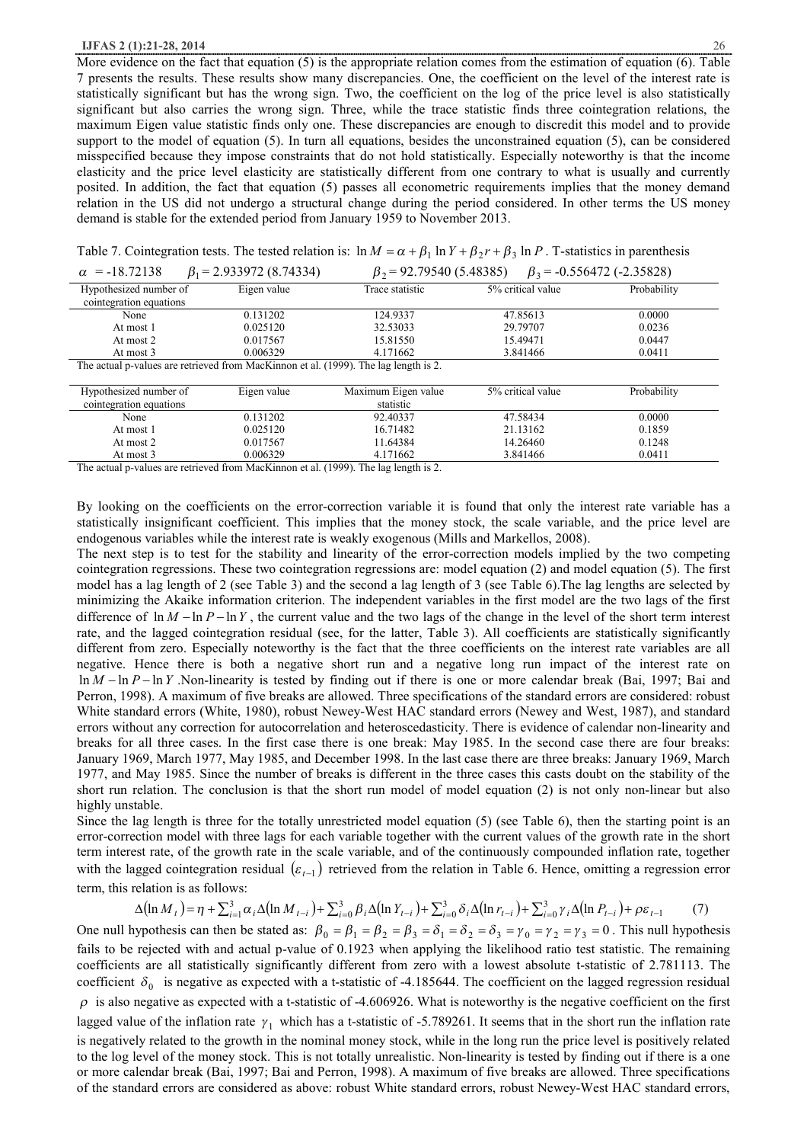#### **IJFAS 2 (1):21-28, 2014** 26

More evidence on the fact that equation (5) is the appropriate relation comes from the estimation of equation (6). Table 7 presents the results. These results show many discrepancies. One, the coefficient on the level of the interest rate is statistically significant but has the wrong sign. Two, the coefficient on the log of the price level is also statistically significant but also carries the wrong sign. Three, while the trace statistic finds three cointegration relations, the maximum Eigen value statistic finds only one. These discrepancies are enough to discredit this model and to provide support to the model of equation (5). In turn all equations, besides the unconstrained equation (5), can be considered misspecified because they impose constraints that do not hold statistically. Especially noteworthy is that the income elasticity and the price level elasticity are statistically different from one contrary to what is usually and currently posited. In addition, the fact that equation (5) passes all econometric requirements implies that the money demand relation in the US did not undergo a structural change during the period considered. In other terms the US money demand is stable for the extended period from January 1959 to November 2013.

| Table 7. Cointegration tests. The tested relation is: $\ln M = \alpha + \beta_1 \ln Y + \beta_2 r + \beta_3 \ln P$ . T-statistics in parenthesis |  |  |  |  |  |
|--------------------------------------------------------------------------------------------------------------------------------------------------|--|--|--|--|--|
|--------------------------------------------------------------------------------------------------------------------------------------------------|--|--|--|--|--|

| $\alpha$ = -18.72138                                                                 | $\beta_1$ = 2.933972 (8.74334) |                     | $\beta_2$ = 92.79540 (5.48385)<br>$\beta_3$ = -0.556472 (-2.35828) |             |  |  |  |
|--------------------------------------------------------------------------------------|--------------------------------|---------------------|--------------------------------------------------------------------|-------------|--|--|--|
| Hypothesized number of                                                               | Eigen value                    | Trace statistic     | 5% critical value                                                  | Probability |  |  |  |
| cointegration equations                                                              |                                |                     |                                                                    |             |  |  |  |
| None                                                                                 | 0.131202                       | 124.9337            | 47.85613                                                           | 0.0000      |  |  |  |
| At most 1                                                                            | 0.025120                       | 32.53033            | 29.79707                                                           | 0.0236      |  |  |  |
| At most 2                                                                            | 0.017567                       | 15.81550            | 15.49471                                                           | 0.0447      |  |  |  |
| At most 3                                                                            | 0.006329                       | 4.171662            | 3.841466                                                           | 0.0411      |  |  |  |
| The actual p-values are retrieved from MacKinnon et al. (1999). The lag length is 2. |                                |                     |                                                                    |             |  |  |  |
|                                                                                      |                                |                     |                                                                    |             |  |  |  |
| Hypothesized number of                                                               | Eigen value                    | Maximum Eigen value | 5% critical value                                                  | Probability |  |  |  |
| cointegration equations                                                              |                                | statistic           |                                                                    |             |  |  |  |
| None                                                                                 | 0.131202                       | 92.40337            | 47.58434                                                           | 0.0000      |  |  |  |
| At most 1                                                                            | 0.025120                       | 16.71482            | 21.13162                                                           | 0.1859      |  |  |  |
| At most 2                                                                            | 0.017567                       | 11.64384            | 14.26460                                                           | 0.1248      |  |  |  |

The actual p-values are retrieved from MacKinnon et al. (1999). The lag length is 2.

By looking on the coefficients on the error-correction variable it is found that only the interest rate variable has a statistically insignificant coefficient. This implies that the money stock, the scale variable, and the price level are endogenous variables while the interest rate is weakly exogenous (Mills and Markellos, 2008).

At most 3 0.006329 4.171662 3.841466 0.0411

The next step is to test for the stability and linearity of the error-correction models implied by the two competing cointegration regressions. These two cointegration regressions are: model equation (2) and model equation (5). The first model has a lag length of 2 (see Table 3) and the second a lag length of 3 (see Table 6).The lag lengths are selected by minimizing the Akaike information criterion. The independent variables in the first model are the two lags of the first difference of  $\ln M - \ln P - \ln Y$ , the current value and the two lags of the change in the level of the short term interest rate, and the lagged cointegration residual (see, for the latter, Table 3). All coefficients are statistically significantly different from zero. Especially noteworthy is the fact that the three coefficients on the interest rate variables are all negative. Hence there is both a negative short run and a negative long run impact of the interest rate on ln *M* - ln *P* - ln *Y* .Non-linearity is tested by finding out if there is one or more calendar break (Bai, 1997; Bai and Perron, 1998). A maximum of five breaks are allowed. Three specifications of the standard errors are considered: robust White standard errors (White, 1980), robust Newey-West HAC standard errors (Newey and West, 1987), and standard errors without any correction for autocorrelation and heteroscedasticity. There is evidence of calendar non-linearity and breaks for all three cases. In the first case there is one break: May 1985. In the second case there are four breaks: January 1969, March 1977, May 1985, and December 1998. In the last case there are three breaks: January 1969, March 1977, and May 1985. Since the number of breaks is different in the three cases this casts doubt on the stability of the short run relation. The conclusion is that the short run model of model equation (2) is not only non-linear but also highly unstable.

Since the lag length is three for the totally unrestricted model equation (5) (see Table 6), then the starting point is an error-correction model with three lags for each variable together with the current values of the growth rate in the short term interest rate, of the growth rate in the scale variable, and of the continuously compounded inflation rate, together with the lagged cointegration residual  $(\varepsilon_{t-1})$  retrieved from the relation in Table 6. Hence, omitting a regression error term, this relation is as follows:

$$
\Delta(\ln M_t) = \eta + \sum_{i=1}^3 \alpha_i \Delta(\ln M_{t-i}) + \sum_{i=0}^3 \beta_i \Delta(\ln Y_{t-i}) + \sum_{i=0}^3 \delta_i \Delta(\ln r_{t-i}) + \sum_{i=0}^3 \gamma_i \Delta(\ln P_{t-i}) + \rho \varepsilon_{t-1}
$$
(7)

One null hypothesis can then be stated as:  $\beta_0 = \beta_1 = \beta_2 = \beta_3 = \delta_1 = \delta_2 = \delta_3 = \gamma_0 = \gamma_2 = \gamma_3 = 0$ . This null hypothesis fails to be rejected with and actual p-value of 0.1923 when applying the likelihood ratio test statistic. The remaining coefficients are all statistically significantly different from zero with a lowest absolute t-statistic of 2.781113. The coefficient  $\delta_0$  is negative as expected with a t-statistic of -4.185644. The coefficient on the lagged regression residual  $\rho$  is also negative as expected with a t-statistic of -4.606926. What is noteworthy is the negative coefficient on the first lagged value of the inflation rate  $\gamma_1$  which has a t-statistic of -5.789261. It seems that in the short run the inflation rate is negatively related to the growth in the nominal money stock, while in the long run the price level is positively related to the log level of the money stock. This is not totally unrealistic. Non-linearity is tested by finding out if there is a one or more calendar break (Bai, 1997; Bai and Perron, 1998). A maximum of five breaks are allowed. Three specifications of the standard errors are considered as above: robust White standard errors, robust Newey-West HAC standard errors,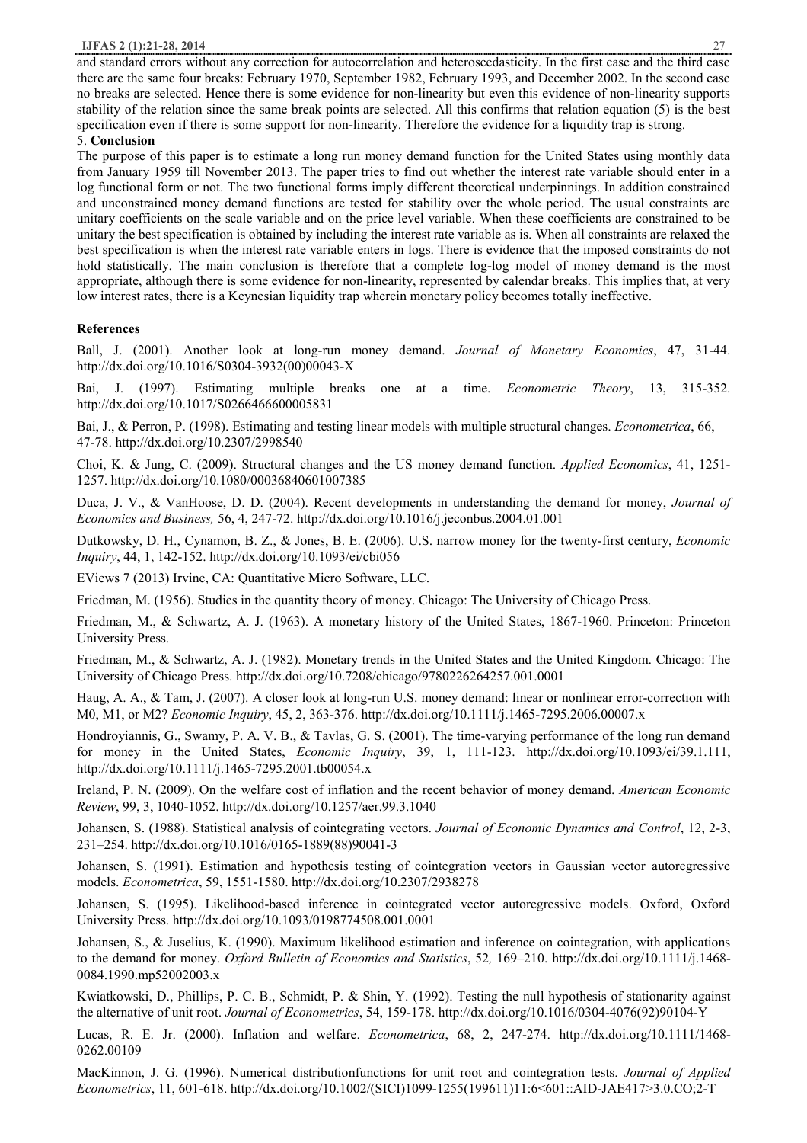and standard errors without any correction for autocorrelation and heteroscedasticity. In the first case and the third case there are the same four breaks: February 1970, September 1982, February 1993, and December 2002. In the second case no breaks are selected. Hence there is some evidence for non-linearity but even this evidence of non-linearity supports stability of the relation since the same break points are selected. All this confirms that relation equation (5) is the best specification even if there is some support for non-linearity. Therefore the evidence for a liquidity trap is strong.

5. **Conclusion**

The purpose of this paper is to estimate a long run money demand function for the United States using monthly data from January 1959 till November 2013. The paper tries to find out whether the interest rate variable should enter in a log functional form or not. The two functional forms imply different theoretical underpinnings. In addition constrained and unconstrained money demand functions are tested for stability over the whole period. The usual constraints are unitary coefficients on the scale variable and on the price level variable. When these coefficients are constrained to be unitary the best specification is obtained by including the interest rate variable as is. When all constraints are relaxed the best specification is when the interest rate variable enters in logs. There is evidence that the imposed constraints do not hold statistically. The main conclusion is therefore that a complete log-log model of money demand is the most appropriate, although there is some evidence for non-linearity, represented by calendar breaks. This implies that, at very low interest rates, there is a Keynesian liquidity trap wherein monetary policy becomes totally ineffective.

# **References**

Ball, J. (2001). Another look at long-run money demand. *Journal of Monetary Economics*, 47, 31-44. http://dx.doi.org/10.1016/S0304-3932(00)00043-X

Bai, J. (1997). Estimating multiple breaks one at a time. *Econometric Theory*, 13, 315-352. http://dx.doi.org/10.1017/S0266466600005831

Bai, J., & Perron, P. (1998). Estimating and testing linear models with multiple structural changes. *Econometrica*, 66, 47-78. http://dx.doi.org/10.2307/2998540

Choi, K. & Jung, C. (2009). Structural changes and the US money demand function. *Applied Economics*, 41, 1251- 1257. http://dx.doi.org/10.1080/00036840601007385

Duca, J. V., & VanHoose, D. D. (2004). Recent developments in understanding the demand for money, *Journal of Economics and Business,* 56, 4, 247-72. http://dx.doi.org/10.1016/j.jeconbus.2004.01.001

Dutkowsky, D. H., Cynamon, B. Z., & Jones, B. E. (2006). U.S. narrow money for the twenty-first century, *Economic Inquiry*, 44, 1, 142-152. http://dx.doi.org/10.1093/ei/cbi056

EViews 7 (2013) Irvine, CA: Quantitative Micro Software, LLC.

Friedman, M. (1956). Studies in the quantity theory of money. Chicago: The University of Chicago Press.

Friedman, M., & Schwartz, A. J. (1963). A monetary history of the United States, 1867-1960. Princeton: Princeton University Press.

Friedman, M., & Schwartz, A. J. (1982). Monetary trends in the United States and the United Kingdom. Chicago: The University of Chicago Press. http://dx.doi.org/10.7208/chicago/9780226264257.001.0001

Haug, A. A., & Tam, J. (2007). A closer look at long-run U.S. money demand: linear or nonlinear error-correction with M0, M1, or M2? *Economic Inquiry*, 45, 2, 363-376. http://dx.doi.org/10.1111/j.1465-7295.2006.00007.x

Hondroyiannis, G., Swamy, P. A. V. B., & Tavlas, G. S. (2001). The time-varying performance of the long run demand for money in the United States, *Economic Inquiry*, 39, 1, 111-123. http://dx.doi.org/10.1093/ei/39.1.111, http://dx.doi.org/10.1111/j.1465-7295.2001.tb00054.x

Ireland, P. N. (2009). On the welfare cost of inflation and the recent behavior of money demand. *American Economic Review*, 99, 3, 1040-1052. http://dx.doi.org/10.1257/aer.99.3.1040

Johansen, S. (1988). Statistical analysis of cointegrating vectors. *Journal of Economic Dynamics and Control*, 12, 2-3, 231–254. http://dx.doi.org/10.1016/0165-1889(88)90041-3

Johansen, S. (1991). Estimation and hypothesis testing of cointegration vectors in Gaussian vector autoregressive models. *Econometrica*, 59, 1551-1580. http://dx.doi.org/10.2307/2938278

Johansen, S. (1995). Likelihood-based inference in cointegrated vector autoregressive models. Oxford, Oxford University Press. http://dx.doi.org/10.1093/0198774508.001.0001

Johansen, S., & Juselius, K. (1990). Maximum likelihood estimation and inference on cointegration, with applications to the demand for money. *Oxford Bulletin of Economics and Statistics*, 52*,* 169–210. http://dx.doi.org/10.1111/j.1468- 0084.1990.mp52002003.x

Kwiatkowski, D., Phillips, P. C. B., Schmidt, P. & Shin, Y. (1992). Testing the null hypothesis of stationarity against the alternative of unit root. *Journal of Econometrics*, 54, 159-178. http://dx.doi.org/10.1016/0304-4076(92)90104-Y

Lucas, R. E. Jr. (2000). Inflation and welfare. *Econometrica*, 68, 2, 247-274. http://dx.doi.org/10.1111/1468- 0262.00109

MacKinnon, J. G. (1996). Numerical distributionfunctions for unit root and cointegration tests. *Journal of Applied Econometrics*, 11, 601-618. http://dx.doi.org/10.1002/(SICI)1099-1255(199611)11:6<601::AID-JAE417>3.0.CO;2-T